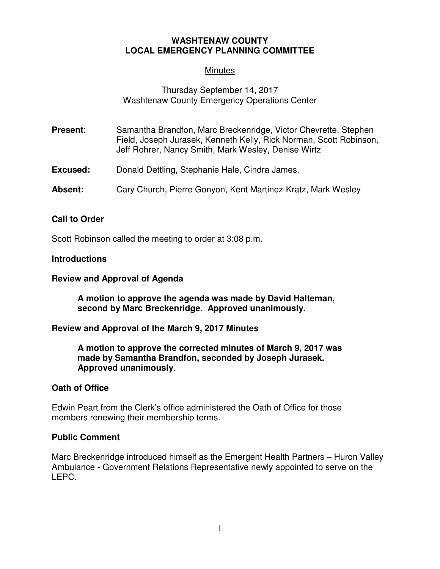# **WASHTENAW COUNTY LOCAL EMERGENCY PLANNING COMMITTEE**

# **Minutes**

# Thursday September 14, 2017 Washtenaw County Emergency Operations Center

- **Present:** Samantha Brandfon, Marc Breckenridge, Victor Chevrette, Stephen Field, Joseph Jurasek, Kenneth Kelly, Rick Norman, Scott Robinson, Jeff Rohrer, Nancy Smith, Mark Wesley, Denise Wirtz
- **Excused:** Donald Dettling, Stephanie Hale, Cindra James.
- **Absent:** Cary Church, Pierre Gonyon, Kent Martinez-Kratz, Mark Wesley

## **Call to Order**

Scott Robinson called the meeting to order at 3:08 p.m.

#### **Introductions**

#### **Review and Approval of Agenda**

**A motion to approve the agenda was made by David Halteman, second by Marc Breckenridge. Approved unanimously.**

#### **Review and Approval of the March 9, 2017 Minutes**

**A motion to approve the corrected minutes of March 9, 2017 was made by Samantha Brandfon, seconded by Joseph Jurasek. Approved unanimously**.

#### **Oath of Office**

Edwin Peart from the Clerk's office administered the Oath of Office for those members renewing their membership terms.

#### **Public Comment**

Marc Breckenridge introduced himself as the Emergent Health Partners – Huron Valley Ambulance - Government Relations Representative newly appointed to serve on the LEPC.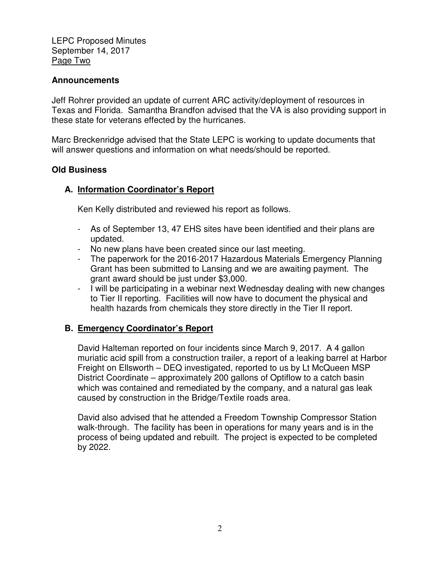LEPC Proposed Minutes September 14, 2017 Page Two

## **Announcements**

Jeff Rohrer provided an update of current ARC activity/deployment of resources in Texas and Florida. Samantha Brandfon advised that the VA is also providing support in these state for veterans effected by the hurricanes.

Marc Breckenridge advised that the State LEPC is working to update documents that will answer questions and information on what needs/should be reported.

## **Old Business**

## **A. Information Coordinator's Report**

Ken Kelly distributed and reviewed his report as follows.

- As of September 13, 47 EHS sites have been identified and their plans are updated.
- No new plans have been created since our last meeting.
- The paperwork for the 2016-2017 Hazardous Materials Emergency Planning Grant has been submitted to Lansing and we are awaiting payment. The grant award should be just under \$3,000.
- I will be participating in a webinar next Wednesday dealing with new changes to Tier II reporting. Facilities will now have to document the physical and health hazards from chemicals they store directly in the Tier II report.

## **B. Emergency Coordinator's Report**

David Halteman reported on four incidents since March 9, 2017. A 4 gallon muriatic acid spill from a construction trailer, a report of a leaking barrel at Harbor Freight on Ellsworth – DEQ investigated, reported to us by Lt McQueen MSP District Coordinate – approximately 200 gallons of Optiflow to a catch basin which was contained and remediated by the company, and a natural gas leak caused by construction in the Bridge/Textile roads area.

David also advised that he attended a Freedom Township Compressor Station walk-through. The facility has been in operations for many years and is in the process of being updated and rebuilt. The project is expected to be completed by 2022.